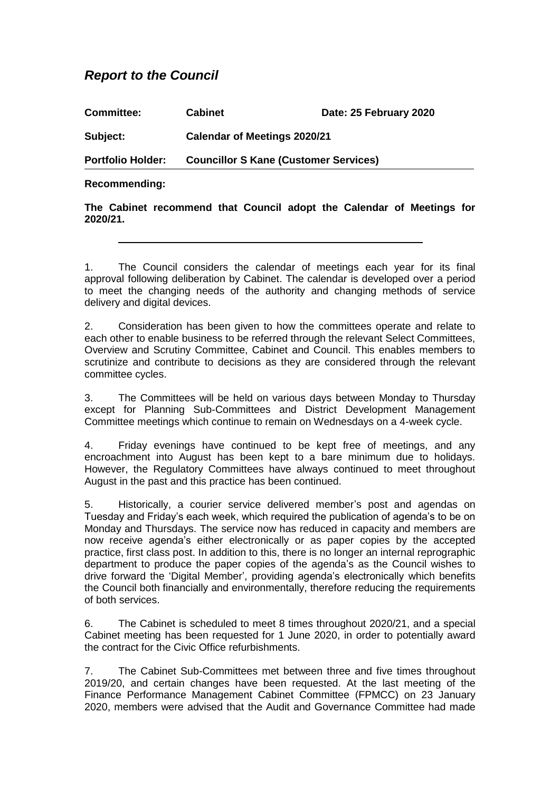## *Report to the Council*

| <b>Committee:</b>        | <b>Cabinet</b>                               | Date: 25 February 2020 |
|--------------------------|----------------------------------------------|------------------------|
| Subject:                 | <b>Calendar of Meetings 2020/21</b>          |                        |
| <b>Portfolio Holder:</b> | <b>Councillor S Kane (Customer Services)</b> |                        |
|                          |                                              |                        |

## **Recommending:**

**The Cabinet recommend that Council adopt the Calendar of Meetings for 2020/21.**

1. The Council considers the calendar of meetings each year for its final approval following deliberation by Cabinet. The calendar is developed over a period to meet the changing needs of the authority and changing methods of service delivery and digital devices.

2. Consideration has been given to how the committees operate and relate to each other to enable business to be referred through the relevant Select Committees, Overview and Scrutiny Committee, Cabinet and Council. This enables members to scrutinize and contribute to decisions as they are considered through the relevant committee cycles.

3. The Committees will be held on various days between Monday to Thursday except for Planning Sub-Committees and District Development Management Committee meetings which continue to remain on Wednesdays on a 4-week cycle.

4. Friday evenings have continued to be kept free of meetings, and any encroachment into August has been kept to a bare minimum due to holidays. However, the Regulatory Committees have always continued to meet throughout August in the past and this practice has been continued.

5. Historically, a courier service delivered member's post and agendas on Tuesday and Friday's each week, which required the publication of agenda's to be on Monday and Thursdays. The service now has reduced in capacity and members are now receive agenda's either electronically or as paper copies by the accepted practice, first class post. In addition to this, there is no longer an internal reprographic department to produce the paper copies of the agenda's as the Council wishes to drive forward the 'Digital Member', providing agenda's electronically which benefits the Council both financially and environmentally, therefore reducing the requirements of both services.

6. The Cabinet is scheduled to meet 8 times throughout 2020/21, and a special Cabinet meeting has been requested for 1 June 2020, in order to potentially award the contract for the Civic Office refurbishments.

7. The Cabinet Sub-Committees met between three and five times throughout 2019/20, and certain changes have been requested. At the last meeting of the Finance Performance Management Cabinet Committee (FPMCC) on 23 January 2020, members were advised that the Audit and Governance Committee had made